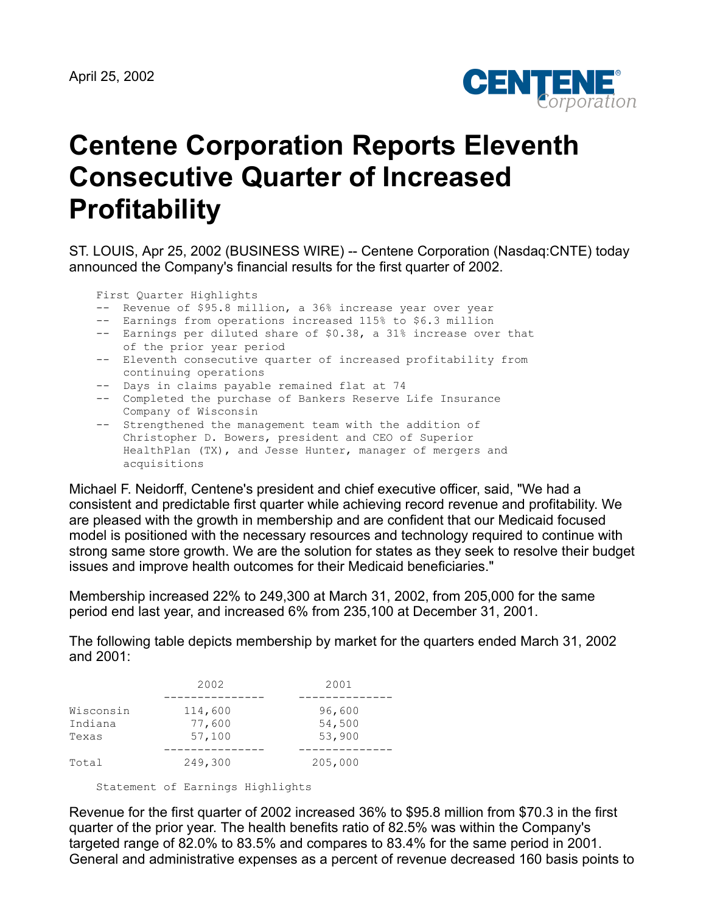

## **Centene Corporation Reports Eleventh Consecutive Quarter of Increased Profitability**

ST. LOUIS, Apr 25, 2002 (BUSINESS WIRE) -- Centene Corporation (Nasdaq:CNTE) today announced the Company's financial results for the first quarter of 2002.

First Quarter Highlights

- -- Revenue of \$95.8 million, a 36% increase year over year
- -- Earnings from operations increased 115% to \$6.3 million
- -- Earnings per diluted share of \$0.38, a 31% increase over that of the prior year period
- -- Eleventh consecutive quarter of increased profitability from continuing operations
	- -- Days in claims payable remained flat at 74
	- -- Completed the purchase of Bankers Reserve Life Insurance Company of Wisconsin
	- -- Strengthened the management team with the addition of Christopher D. Bowers, president and CEO of Superior HealthPlan (TX), and Jesse Hunter, manager of mergers and acquisitions

Michael F. Neidorff, Centene's president and chief executive officer, said, "We had a consistent and predictable first quarter while achieving record revenue and profitability. We are pleased with the growth in membership and are confident that our Medicaid focused model is positioned with the necessary resources and technology required to continue with strong same store growth. We are the solution for states as they seek to resolve their budget issues and improve health outcomes for their Medicaid beneficiaries."

Membership increased 22% to 249,300 at March 31, 2002, from 205,000 for the same period end last year, and increased 6% from 235,100 at December 31, 2001.

The following table depicts membership by market for the quarters ended March 31, 2002 and 2001:

|                               | 2002                        | 2001                       |
|-------------------------------|-----------------------------|----------------------------|
| Wisconsin<br>Indiana<br>Texas | 114,600<br>77,600<br>57,100 | 96,600<br>54,500<br>53,900 |
| Total                         | 249,300                     | 205,000                    |

Statement of Earnings Highlights

Revenue for the first quarter of 2002 increased 36% to \$95.8 million from \$70.3 in the first quarter of the prior year. The health benefits ratio of 82.5% was within the Company's targeted range of 82.0% to 83.5% and compares to 83.4% for the same period in 2001. General and administrative expenses as a percent of revenue decreased 160 basis points to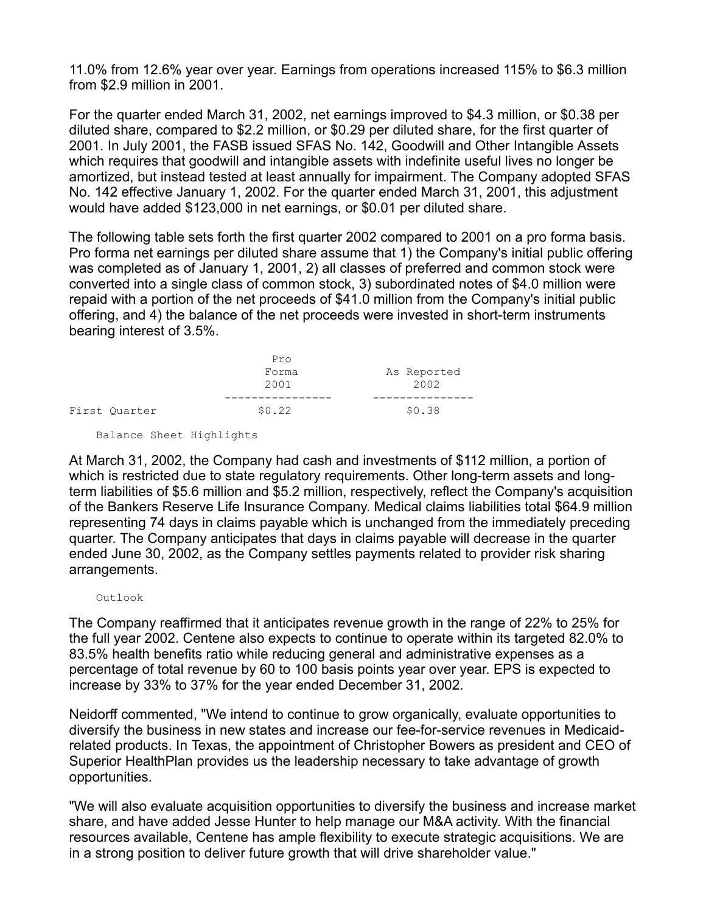11.0% from 12.6% year over year. Earnings from operations increased 115% to \$6.3 million from \$2.9 million in 2001.

For the quarter ended March 31, 2002, net earnings improved to \$4.3 million, or \$0.38 per diluted share, compared to \$2.2 million, or \$0.29 per diluted share, for the first quarter of 2001. In July 2001, the FASB issued SFAS No. 142, Goodwill and Other Intangible Assets which requires that goodwill and intangible assets with indefinite useful lives no longer be amortized, but instead tested at least annually for impairment. The Company adopted SFAS No. 142 effective January 1, 2002. For the quarter ended March 31, 2001, this adjustment would have added \$123,000 in net earnings, or \$0.01 per diluted share.

The following table sets forth the first quarter 2002 compared to 2001 on a pro forma basis. Pro forma net earnings per diluted share assume that 1) the Company's initial public offering was completed as of January 1, 2001, 2) all classes of preferred and common stock were converted into a single class of common stock, 3) subordinated notes of \$4.0 million were repaid with a portion of the net proceeds of \$41.0 million from the Company's initial public offering, and 4) the balance of the net proceeds were invested in short-term instruments bearing interest of 3.5%.

|               | Pro           |                     |
|---------------|---------------|---------------------|
|               | Forma<br>2001 | As Reported<br>2002 |
|               |               |                     |
| First Quarter | \$0.22        | \$0.38              |

Balance Sheet Highlights

At March 31, 2002, the Company had cash and investments of \$112 million, a portion of which is restricted due to state regulatory requirements. Other long-term assets and longterm liabilities of \$5.6 million and \$5.2 million, respectively, reflect the Company's acquisition of the Bankers Reserve Life Insurance Company. Medical claims liabilities total \$64.9 million representing 74 days in claims payable which is unchanged from the immediately preceding quarter. The Company anticipates that days in claims payable will decrease in the quarter ended June 30, 2002, as the Company settles payments related to provider risk sharing arrangements.

## Outlook

The Company reaffirmed that it anticipates revenue growth in the range of 22% to 25% for the full year 2002. Centene also expects to continue to operate within its targeted 82.0% to 83.5% health benefits ratio while reducing general and administrative expenses as a percentage of total revenue by 60 to 100 basis points year over year. EPS is expected to increase by 33% to 37% for the year ended December 31, 2002.

Neidorff commented, "We intend to continue to grow organically, evaluate opportunities to diversify the business in new states and increase our fee-for-service revenues in Medicaidrelated products. In Texas, the appointment of Christopher Bowers as president and CEO of Superior HealthPlan provides us the leadership necessary to take advantage of growth opportunities.

"We will also evaluate acquisition opportunities to diversify the business and increase market share, and have added Jesse Hunter to help manage our M&A activity. With the financial resources available, Centene has ample flexibility to execute strategic acquisitions. We are in a strong position to deliver future growth that will drive shareholder value."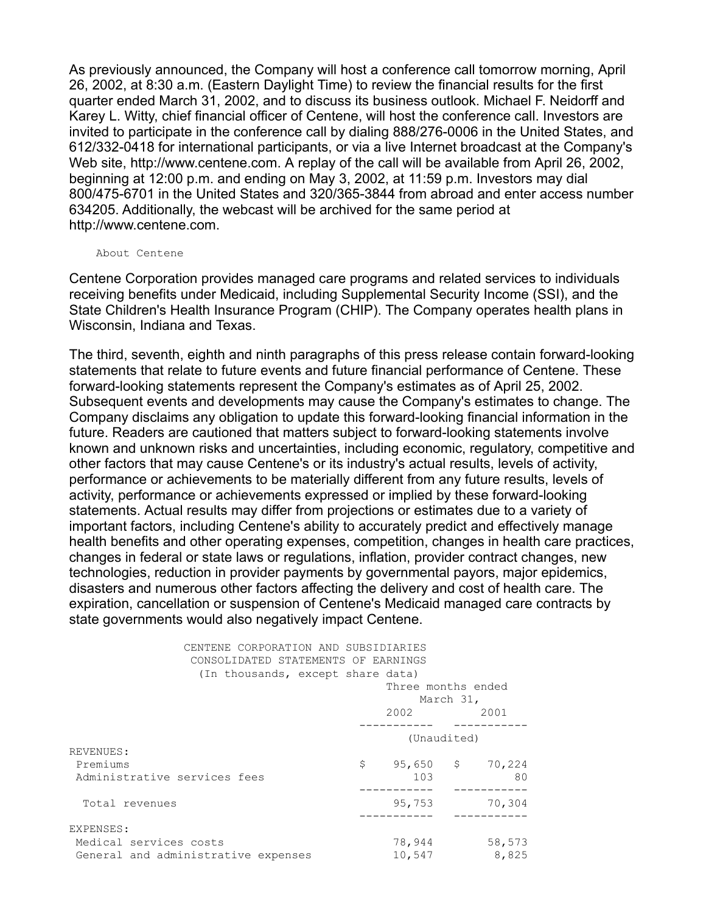As previously announced, the Company will host a conference call tomorrow morning, April 26, 2002, at 8:30 a.m. (Eastern Daylight Time) to review the financial results for the first quarter ended March 31, 2002, and to discuss its business outlook. Michael F. Neidorff and Karey L. Witty, chief financial officer of Centene, will host the conference call. Investors are invited to participate in the conference call by dialing 888/276-0006 in the United States, and 612/332-0418 for international participants, or via a live Internet broadcast at the Company's Web site, http://www.centene.com. A replay of the call will be available from April 26, 2002, beginning at 12:00 p.m. and ending on May 3, 2002, at 11:59 p.m. Investors may dial 800/475-6701 in the United States and 320/365-3844 from abroad and enter access number 634205. Additionally, the webcast will be archived for the same period at http://www.centene.com.

## About Centene

Centene Corporation provides managed care programs and related services to individuals receiving benefits under Medicaid, including Supplemental Security Income (SSI), and the State Children's Health Insurance Program (CHIP). The Company operates health plans in Wisconsin, Indiana and Texas.

The third, seventh, eighth and ninth paragraphs of this press release contain forward-looking statements that relate to future events and future financial performance of Centene. These forward-looking statements represent the Company's estimates as of April 25, 2002. Subsequent events and developments may cause the Company's estimates to change. The Company disclaims any obligation to update this forward-looking financial information in the future. Readers are cautioned that matters subject to forward-looking statements involve known and unknown risks and uncertainties, including economic, regulatory, competitive and other factors that may cause Centene's or its industry's actual results, levels of activity, performance or achievements to be materially different from any future results, levels of activity, performance or achievements expressed or implied by these forward-looking statements. Actual results may differ from projections or estimates due to a variety of important factors, including Centene's ability to accurately predict and effectively manage health benefits and other operating expenses, competition, changes in health care practices, changes in federal or state laws or regulations, inflation, provider contract changes, new technologies, reduction in provider payments by governmental payors, major epidemics, disasters and numerous other factors affecting the delivery and cost of health care. The expiration, cancellation or suspension of Centene's Medicaid managed care contracts by state governments would also negatively impact Centene.

| CENTENE CORPORATION AND SUBSIDIARIES<br>CONSOLIDATED STATEMENTS OF EARNINGS<br>(In thousands, except share data) | Three months ended<br>March 31, |  |                               |  |
|------------------------------------------------------------------------------------------------------------------|---------------------------------|--|-------------------------------|--|
|                                                                                                                  | 2002                            |  | 2001                          |  |
|                                                                                                                  | (Unaudited)                     |  |                               |  |
| REVENUES:<br>Premiums<br>Administrative services fees                                                            | \$<br>103                       |  | $95,650 \qquad $70,224$<br>80 |  |
| Total revenues                                                                                                   | 95,753                          |  | 70,304                        |  |
| EXPENSES:                                                                                                        |                                 |  |                               |  |
| Medical services costs<br>General and administrative expenses                                                    | 78,944<br>10,547                |  | 58,573<br>8,825               |  |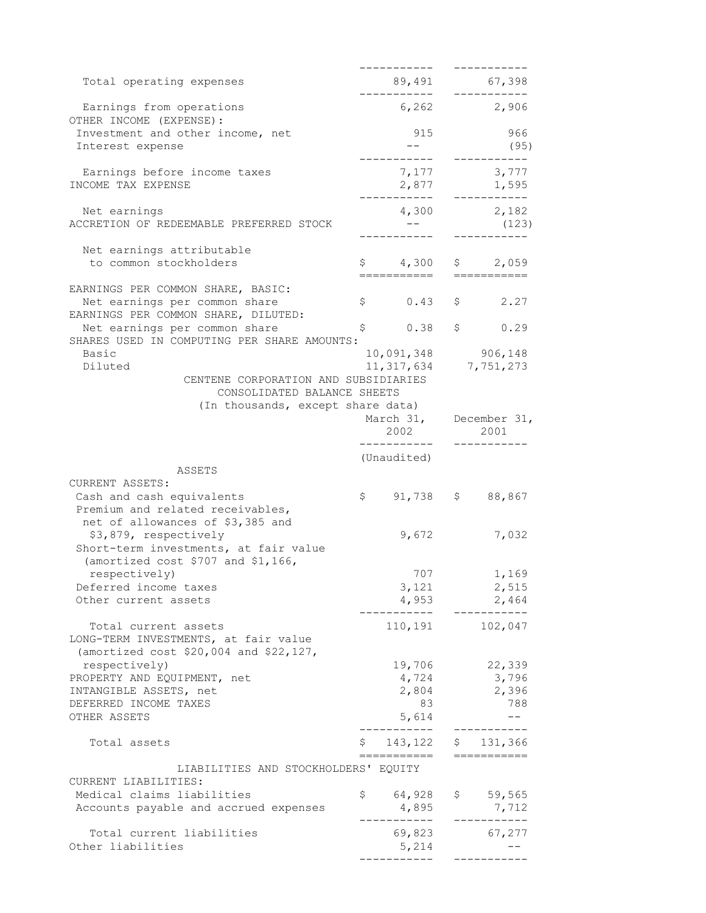|                                                     |                                                                                                           |              |                                      |               | ----------               |
|-----------------------------------------------------|-----------------------------------------------------------------------------------------------------------|--------------|--------------------------------------|---------------|--------------------------|
| Total operating expenses                            |                                                                                                           |              | 89,491 67,398                        |               |                          |
| Earnings from operations<br>OTHER INCOME (EXPENSE): |                                                                                                           |              | -----------<br>$6,262$ 2,906         |               | ----------               |
|                                                     | Investment and other income, net                                                                          |              | 915                                  |               | 966                      |
| Interest expense                                    |                                                                                                           |              | $--$                                 |               | (95)                     |
|                                                     | Earnings before income taxes                                                                              |              | 7,177                                |               | 3,777                    |
| INCOME TAX EXPENSE                                  |                                                                                                           |              |                                      |               | $2,877$ $1,595$<br>1,595 |
|                                                     |                                                                                                           |              |                                      |               |                          |
| Net earnings                                        | ACCRETION OF REDEEMABLE PREFERRED STOCK                                                                   |              | 4,300 2,182<br>$\sim$ $  \sim$       |               | (123)                    |
| Net earnings attributable                           |                                                                                                           |              |                                      |               |                          |
| to common stockholders                              |                                                                                                           |              | $$4,300$ \$ 2,059                    |               |                          |
|                                                     |                                                                                                           |              | ===========                          |               | =========                |
|                                                     | EARNINGS PER COMMON SHARE, BASIC:<br>Net earnings per common share<br>EARNINGS PER COMMON SHARE, DILUTED: |              | \$0.43                               |               | \$2.27                   |
|                                                     | Net earnings per common share                                                                             | \$           | 0.38                                 | $\frac{1}{2}$ | 0.29                     |
|                                                     | SHARES USED IN COMPUTING PER SHARE AMOUNTS:                                                               |              |                                      |               |                          |
| Basic                                               |                                                                                                           |              | 10,091,348                           |               | 906, 148                 |
| Diluted                                             |                                                                                                           |              | 11,317,634                           |               | 7,751,273                |
|                                                     | CENTENE CORPORATION AND SUBSIDIARIES<br>CONSOLIDATED BALANCE SHEETS                                       |              |                                      |               |                          |
|                                                     | (In thousands, except share data)                                                                         |              |                                      |               |                          |
|                                                     |                                                                                                           |              |                                      |               | March 31, December 31,   |
|                                                     |                                                                                                           |              | 2002                                 |               | 2001                     |
|                                                     |                                                                                                           |              |                                      |               |                          |
|                                                     | ASSETS                                                                                                    |              | (Unaudited)                          |               |                          |
| CURRENT ASSETS:                                     |                                                                                                           |              |                                      |               |                          |
| Cash and cash equivalents                           |                                                                                                           | $\mathsf{S}$ |                                      |               | $91,738$ \$ 88,867       |
|                                                     | Premium and related receivables,<br>net of allowances of \$3,385 and                                      |              |                                      |               |                          |
| \$3,879, respectively                               |                                                                                                           |              | 9,672                                |               | 7,032                    |
|                                                     | Short-term investments, at fair value                                                                     |              |                                      |               |                          |
| respectively)                                       | (amortized cost \$707 and \$1,166,                                                                        |              | 707                                  |               | 1,169                    |
| Deferred income taxes                               |                                                                                                           |              | 3,121                                |               | 2,515                    |
| Other current assets                                |                                                                                                           |              | 4,953                                |               | 2,464                    |
|                                                     |                                                                                                           |              |                                      |               | ---------                |
| Total current assets                                | LONG-TERM INVESTMENTS, at fair value                                                                      |              | 110, 191 102, 047                    |               |                          |
|                                                     | (amortized cost \$20,004 and \$22,127,                                                                    |              |                                      |               |                          |
| respectively)                                       |                                                                                                           |              | 19,706                               |               | 22,339                   |
| PROPERTY AND EQUIPMENT, net                         |                                                                                                           |              | 4,724                                |               | 3,796                    |
| INTANGIBLE ASSETS, net                              |                                                                                                           |              | 2,804                                |               | 2,396                    |
| DEFERRED INCOME TAXES                               |                                                                                                           |              | 83                                   |               | 788                      |
| OTHER ASSETS                                        |                                                                                                           |              | 5,614                                |               | $- -$                    |
| Total assets                                        |                                                                                                           |              | $$143,122$ $$131,366$<br>=========== |               | ===========              |
| CURRENT LIABILITIES:                                | LIABILITIES AND STOCKHOLDERS' EQUITY                                                                      |              |                                      |               |                          |
| Medical claims liabilities                          |                                                                                                           |              | \$64,928                             |               | \$59,565                 |
|                                                     | Accounts payable and accrued expenses                                                                     |              | 4,895                                |               | 7,712                    |
|                                                     |                                                                                                           |              | --------                             |               |                          |
| Total current liabilities<br>Other liabilities      |                                                                                                           |              | 69,823                               |               | 67,277                   |
|                                                     |                                                                                                           |              |                                      |               |                          |
|                                                     |                                                                                                           |              | 5,214                                |               |                          |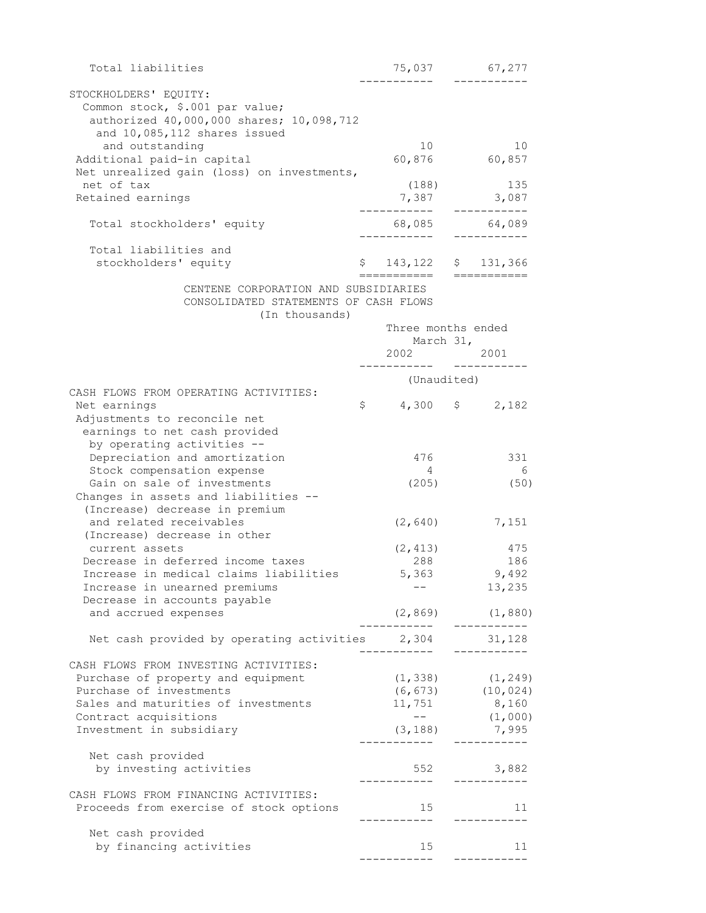| Total liabilities                                                             |                       | 75,037 67,277                                |  |  |
|-------------------------------------------------------------------------------|-----------------------|----------------------------------------------|--|--|
| STOCKHOLDERS' EQUITY:                                                         |                       |                                              |  |  |
| Common stock, \$.001 par value;                                               |                       |                                              |  |  |
| authorized 40,000,000 shares; 10,098,712                                      |                       |                                              |  |  |
| and 10,085,112 shares issued                                                  |                       |                                              |  |  |
| and outstanding                                                               | 10                    | 10                                           |  |  |
| Additional paid-in capital                                                    |                       | 60,876 60,857                                |  |  |
| Net unrealized gain (loss) on investments,                                    |                       |                                              |  |  |
| net of tax                                                                    | (188)                 | 135                                          |  |  |
| Retained earnings                                                             | 7,387<br>___________  | 3,087<br>------------                        |  |  |
| Total stockholders' equity                                                    |                       | 68,085 64,089                                |  |  |
|                                                                               | ___________           | ------------                                 |  |  |
| Total liabilities and                                                         |                       |                                              |  |  |
| stockholders' equity                                                          | $$143,122$ $$131,366$ |                                              |  |  |
|                                                                               | ===========           |                                              |  |  |
| CENTENE CORPORATION AND SUBSIDIARIES<br>CONSOLIDATED STATEMENTS OF CASH FLOWS |                       |                                              |  |  |
| (In thousands)                                                                |                       |                                              |  |  |
|                                                                               |                       | Three months ended                           |  |  |
|                                                                               |                       | March 31,                                    |  |  |
|                                                                               |                       | 2002 2001                                    |  |  |
|                                                                               |                       |                                              |  |  |
| CASH FLOWS FROM OPERATING ACTIVITIES:                                         | (Unaudited)           |                                              |  |  |
| Net earnings                                                                  | $$4,300$ $$2,182$     |                                              |  |  |
| Adjustments to reconcile net                                                  |                       |                                              |  |  |
| earnings to net cash provided                                                 |                       |                                              |  |  |
| by operating activities --                                                    |                       |                                              |  |  |
| Depreciation and amortization                                                 | 476                   | 331                                          |  |  |
| Stock compensation expense                                                    | 4                     | $6\overline{6}$                              |  |  |
| Gain on sale of investments                                                   | (205)                 | (50)                                         |  |  |
| Changes in assets and liabilities --                                          |                       |                                              |  |  |
| (Increase) decrease in premium<br>and related receivables                     | (2, 640)              | 7,151                                        |  |  |
| (Increase) decrease in other                                                  |                       |                                              |  |  |
| current assets                                                                | (2, 413)              | 475                                          |  |  |
| Decrease in deferred income taxes                                             | 288                   | 186                                          |  |  |
| Increase in medical claims liabilities                                        | 5,363                 | 9,492                                        |  |  |
| Increase in unearned premiums                                                 |                       | 13,235                                       |  |  |
| Decrease in accounts payable                                                  |                       |                                              |  |  |
| and accrued expenses                                                          | __________            | $(2, 869)$ $(1, 880)$<br>___________         |  |  |
| Net cash provided by operating activities 2,304 31,128                        |                       |                                              |  |  |
|                                                                               | ___________           |                                              |  |  |
| CASH FLOWS FROM INVESTING ACTIVITIES:                                         |                       |                                              |  |  |
| Purchase of property and equipment                                            |                       | $(1, 338)$ $(1, 249)$                        |  |  |
| Purchase of investments                                                       |                       | $(6, 673)$ $(10, 024)$                       |  |  |
| Sales and maturities of investments                                           | 11,751                | 8,160                                        |  |  |
| Contract acquisitions                                                         | $ -$                  | (1,000)                                      |  |  |
| Investment in subsidiary                                                      |                       | $(3, 188)$ 7,995<br>______         _________ |  |  |
| Net cash provided                                                             |                       |                                              |  |  |
| by investing activities                                                       |                       | 552 3,882                                    |  |  |
|                                                                               |                       |                                              |  |  |
| CASH FLOWS FROM FINANCING ACTIVITIES:                                         |                       |                                              |  |  |
| Proceeds from exercise of stock options                                       | 15<br>----------      | 11<br>__________                             |  |  |
| Net cash provided                                                             |                       |                                              |  |  |
| by financing activities                                                       | 15                    | 11                                           |  |  |
|                                                                               | ----------            |                                              |  |  |